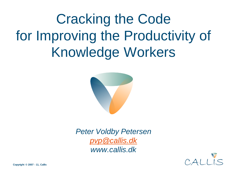Cracking the Code for Improving the Productivity of Knowledge Workers



*Peter Voldby Petersen [pvp@callis.dk](mailto:pvp@callis.dk) www.callis.dk*

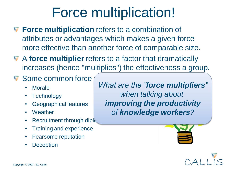# Force multiplication!

- **Force multiplication** refers to a combination of attributes or advantages which makes a given force more effective than another force of comparable size.
- A **force multiplier** refers to a factor that dramatically increases (hence "multiplies") the effectiveness a group.

### **V** Some common force

- Morale
- Technology
- Geographical features
- Weather
- Recruitment through diplomation
- Training and experience
- Fearsome reputation
- Deception

*What are the "force multipliers" when talking about improving the productivity of knowledge workers?*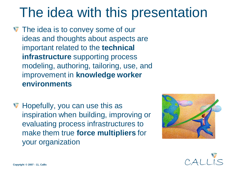# The idea with this presentation

- The idea is to convey some of our ideas and thoughts about aspects are important related to the **technical infrastructure** supporting process modeling, authoring, tailoring, use, and improvement in **knowledge worker environments**
- **W** Hopefully, you can use this as inspiration when building, improving or evaluating process infrastructures to make them true **force multipliers** for your organization



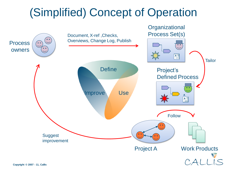## (Simplified) Concept of Operation

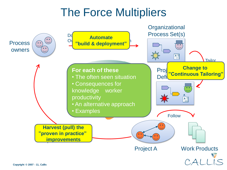## The Force Multipliers

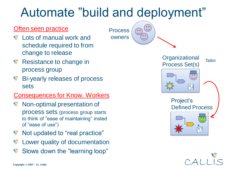## Automate "build and deployment"

Process

owners

#### **Often seen practice**

- Lots of manual work and schedule required to from change to release
- Resistance to change in process group
- **Bi-yearly releases of process** sets

#### Consequences for Know. Workers

- **Non-optimal presentation of** process sets (process group starts to think of "ease of maintaining" insted of "ease of use")
- $\nabla$  Not updated to "real practice"
- Lower quality of documentation
- Slows down the "learning loop"



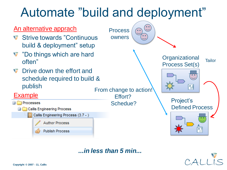

*...in less than 5 min...*

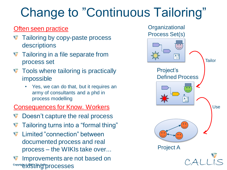# Change to "Continuous Tailoring"

### **Often seen practice**

- Tailoring by copy-paste process descriptions
- **Tailoring in a file separate from** process set
- $\nabla$  Tools where tailoring is practically impossible
	- Yes, we can do that, but it requires an army of consultants and a phd in process modelling

Consequences for Know. Workers

- Doesn't capture the real process
- Tailoring turns into a "formal thing"
- Limited "connection" between documented process and real process – the WIKIs take over...

<sup>copyright</sup> & 2007 <sup>Copyright</sup> & 2015 <sup>Copyright</sup> & 2015 COPS **CO** Improvements are not based on

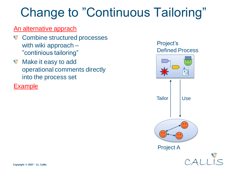## Change to "Continuous Tailoring"

#### An alternative apprach

- $\triangledown$  Combine structured processes with wiki approach – "continious tailoring"
- **Make it easy to add** operational comments directly into the process set

**Example** 



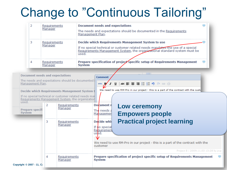## Change to "Continuous Tailoring"

| 2                                                                    | Requirements<br>Manager                          |                                                                                                                                                                                                                                                                       | <b>Document needs and expectations</b><br>The needs and expectations should be documented in the Requirements<br>Management Plan.                                                                                                                                                                                                                                                                                                                                                                                                                                             |  |  |  |  |  |  |  |
|----------------------------------------------------------------------|--------------------------------------------------|-----------------------------------------------------------------------------------------------------------------------------------------------------------------------------------------------------------------------------------------------------------------------|-------------------------------------------------------------------------------------------------------------------------------------------------------------------------------------------------------------------------------------------------------------------------------------------------------------------------------------------------------------------------------------------------------------------------------------------------------------------------------------------------------------------------------------------------------------------------------|--|--|--|--|--|--|--|
| з                                                                    | Requirements<br>Manager                          |                                                                                                                                                                                                                                                                       | Decide which Requirements Management System to use<br>If no special technical or customer related needs mandates the use of a special<br>Requirements Management System, the organizational standard system must be<br>used.<br>Prepare specification of project specific setup of Requirements Management<br>$\Box$<br><b>System</b>                                                                                                                                                                                                                                         |  |  |  |  |  |  |  |
| 4                                                                    | Requirements<br>Manager                          |                                                                                                                                                                                                                                                                       |                                                                                                                                                                                                                                                                                                                                                                                                                                                                                                                                                                               |  |  |  |  |  |  |  |
| Management Plan.<br>used.<br><b>Prepare specifi</b><br><b>System</b> | <b>Document needs and expectations</b><br>2<br>з | The needs and expectations should be documented i<br>Decide which Requirements Management System t<br>If no special technical or customer related needs mar<br>Requirements Management System, the organization<br>Requirements<br>Manager<br>Requirements<br>Manager | <b>The Contract of the Contract of the Contract of the Contract of the Contract of the Contract of the Contract of the Contract of the Contract of the Contract of the Contract of The Contract of The Contract of The Contract </b><br>Comment<br>◢ Ⅱ ₩ ≣ ≣ ≣ ≣ ⊟ ∃ ♥ ₾ ☞ ※<br>HTML <b>B</b><br>We need to use RM-Pro in our project - this is a part of the contract with the custo<br>Document r<br><b>Low ceremony</b><br>The needs a<br><b>Empowers people</b><br>Managemen<br><b>Practical project learning</b><br>Decide whil<br>If no special<br>Requirement<br>used. |  |  |  |  |  |  |  |
|                                                                      |                                                  |                                                                                                                                                                                                                                                                       | We need to use RM-Pro in our project - this is a part of the contract with the<br>customer<br>Project E   2009.11.03 13:28 by pvp                                                                                                                                                                                                                                                                                                                                                                                                                                             |  |  |  |  |  |  |  |
| Copyright © 2007 - 11, Ca                                            | 4                                                | Requirements<br>Manager                                                                                                                                                                                                                                               | Prepare specification of project specific setup of Requirements Management<br><b>System</b>                                                                                                                                                                                                                                                                                                                                                                                                                                                                                   |  |  |  |  |  |  |  |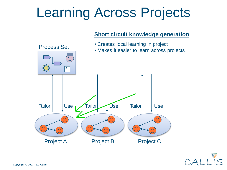# Learning Across Projects

#### **Short circuit knowledge generation**



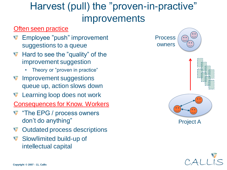### Harvest (pull) the "proven-in-practive" improvements

#### **Often seen practice**

- Employee "push" improvement suggestions to a queue
- **Hard to see the "quality" of the** improvement suggestion
	- Theory or "proven in practice"
- **V** Improvement suggestions queue up, action slows down
- **Learning loop does not work**

Consequences for Know. Workers

- The EPG / process owners don't do anything"
- **V** Outdated process descriptions
- **Slow/limited build-up of** intellectual capital



Project A

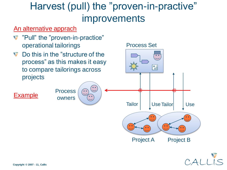### Harvest (pull) the "proven-in-practive" improvements

#### An alternative apprach

- **T** "Pull" the "proven-in-practice" operational tailorings
- Do this in the "structure of the process" as this makes it easy to compare tailorings across projects

Process

 $\bullet$   $\bullet$ 

owners

#### Process Set





Example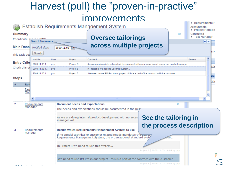### Harvest (pull) the "proven-in-practive" improvements

|                                                         |            |                 |                         |                                                                                                    |                                                                                         | THE TULE OF STREET HAS                                                                        |      |  |                                                                                         |                               |         | Requirements N |      |
|---------------------------------------------------------|------------|-----------------|-------------------------|----------------------------------------------------------------------------------------------------|-----------------------------------------------------------------------------------------|-----------------------------------------------------------------------------------------------|------|--|-----------------------------------------------------------------------------------------|-------------------------------|---------|----------------|------|
| Establish Requirements Management System<br>Accountable |            |                 |                         |                                                                                                    |                                                                                         |                                                                                               |      |  |                                                                                         |                               |         |                |      |
| <b>Summary</b>                                          |            |                 |                         |                                                                                                    |                                                                                         |                                                                                               |      |  |                                                                                         | • Project Manage<br>Consulted |         |                |      |
| Coordinate sr<br>$-$ <i>E</i> mass                      |            |                 |                         | • Test Manager<br><b>Oversee tailorings</b>                                                        |                                                                                         |                                                                                               |      |  |                                                                                         |                               |         |                |      |
| <b>Search Comments</b>                                  |            |                 |                         |                                                                                                    |                                                                                         |                                                                                               |      |  |                                                                                         | $\blacktriangle$ $\mathsf{X}$ |         |                |      |
| <b>Main Descl</b>                                       |            | Modified after: | 2009.11.03              |                                                                                                    |                                                                                         |                                                                                               |      |  | across multiple projects                                                                |                               |         |                |      |
| Search<br>This task des                                 |            |                 |                         |                                                                                                    |                                                                                         |                                                                                               |      |  |                                                                                         |                               |         |                | is N |
|                                                         |            | Modified        | User                    | Project                                                                                            |                                                                                         | Comment                                                                                       |      |  |                                                                                         |                               | Element | ∧              |      |
| <b>Entry Crite</b>                                      |            | 2009.11.03 1    | <b>DVD</b><br>Project B |                                                                                                    |                                                                                         | As we are doing internal product development with no access to end users, our product manager |      |  |                                                                                         |                               |         |                |      |
| Check this of<br>2009.11.03 1 pvp<br>2009.11.03 1 pvp   |            |                 |                         | Project B                                                                                          |                                                                                         | In Project B we need to use this system                                                       |      |  |                                                                                         |                               |         | s              |      |
|                                                         |            |                 | Project E               |                                                                                                    | We need to use RM-Pro in our project - this is a part of the contract with the customer |                                                                                               |      |  |                                                                                         |                               |         |                |      |
| <b>Steps</b>                                            |            |                 |                         |                                                                                                    |                                                                                         |                                                                                               |      |  |                                                                                         |                               |         |                | ice  |
|                                                         | <b>Rol</b> |                 |                         |                                                                                                    |                                                                                         |                                                                                               |      |  |                                                                                         |                               |         |                |      |
| 1                                                       | Red        |                 |                         |                                                                                                    |                                                                                         |                                                                                               |      |  |                                                                                         |                               |         |                |      |
|                                                         | Mar        |                 |                         |                                                                                                    |                                                                                         |                                                                                               |      |  |                                                                                         |                               |         |                |      |
|                                                         |            | ≺               |                         |                                                                                                    |                                                                                         |                                                                                               | HH . |  |                                                                                         |                               |         |                |      |
| 2                                                       |            | Requirements    |                         | <b>Document needs and expectations</b>                                                             |                                                                                         |                                                                                               |      |  |                                                                                         |                               |         |                |      |
|                                                         |            | Manager         |                         | The needs and expectations should be documented in the Reg                                         |                                                                                         |                                                                                               |      |  |                                                                                         |                               |         |                |      |
|                                                         |            |                 |                         |                                                                                                    |                                                                                         |                                                                                               |      |  |                                                                                         |                               |         |                |      |
|                                                         |            |                 |                         | See the tailoring in<br>As we are doing internal product development with no acces<br>manager will |                                                                                         |                                                                                               |      |  |                                                                                         |                               |         |                |      |
|                                                         |            |                 |                         |                                                                                                    |                                                                                         |                                                                                               |      |  | the process description                                                                 |                               |         |                |      |
| з<br>Manager                                            |            | Requirements    |                         | Decide which Requirements Management System to use                                                 |                                                                                         |                                                                                               |      |  |                                                                                         |                               |         |                |      |
|                                                         |            |                 |                         | If no special technical or customer related needs mandates the use or                              |                                                                                         |                                                                                               |      |  |                                                                                         |                               |         |                |      |
|                                                         |            |                 |                         | Requirements Management System, the organizational standard syst                                   |                                                                                         |                                                                                               |      |  |                                                                                         | used.                         |         |                |      |
|                                                         |            |                 |                         | In Project B we need to use this system                                                            |                                                                                         |                                                                                               |      |  |                                                                                         |                               |         |                |      |
|                                                         |            |                 |                         |                                                                                                    |                                                                                         |                                                                                               |      |  | Project B   2009.11.03 14:04 by pvp                                                     |                               |         |                |      |
|                                                         |            |                 |                         |                                                                                                    |                                                                                         |                                                                                               |      |  |                                                                                         |                               |         |                |      |
|                                                         |            |                 |                         |                                                                                                    |                                                                                         |                                                                                               |      |  | We need to use RM-Pro in our project - this is a part of the contract with the customer |                               |         |                |      |
|                                                         |            |                 |                         |                                                                                                    |                                                                                         |                                                                                               |      |  | Project E   2009.11.03 14:03 by pvp                                                     |                               |         |                |      |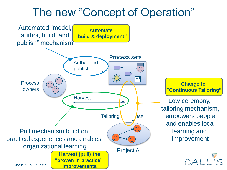### The new "Concept of Operation"

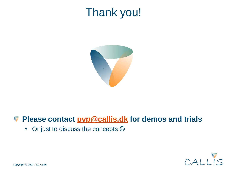## Thank you!



### **Please contact [pvp@callis.dk](mailto:pvp@callis.dk) for demos and trials**

• Or just to discuss the concepts  $\odot$ 

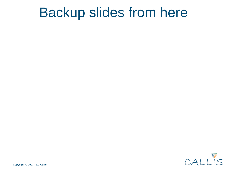## Backup slides from here

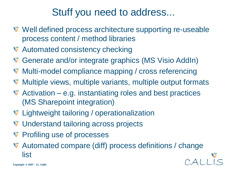### Stuff you need to address...

- Well defined process architecture supporting re-useable process content / method libraries
- **V** Automated consistency checking
- **V** Generate and/or integrate graphics (MS Visio AddIn)
- **W** Multi-model compliance mapping / cross referencing
- **W** Multiple views, multiple variants, multiple output formats
- $\blacktriangledown$  Activation e.g. instantiating roles and best practices (MS Sharepoint integration)
- **V** Lightweight tailoring / operationalization
- **V** Understand tailoring across projects
- **V** Profiling use of processes
- Automated compare (diff) process definitions / change list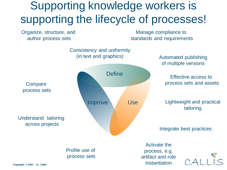## Supporting knowledge workers is supporting the lifecycle of processes!

Organize, structure, and author process sets

Manage compliance to standards and requirements